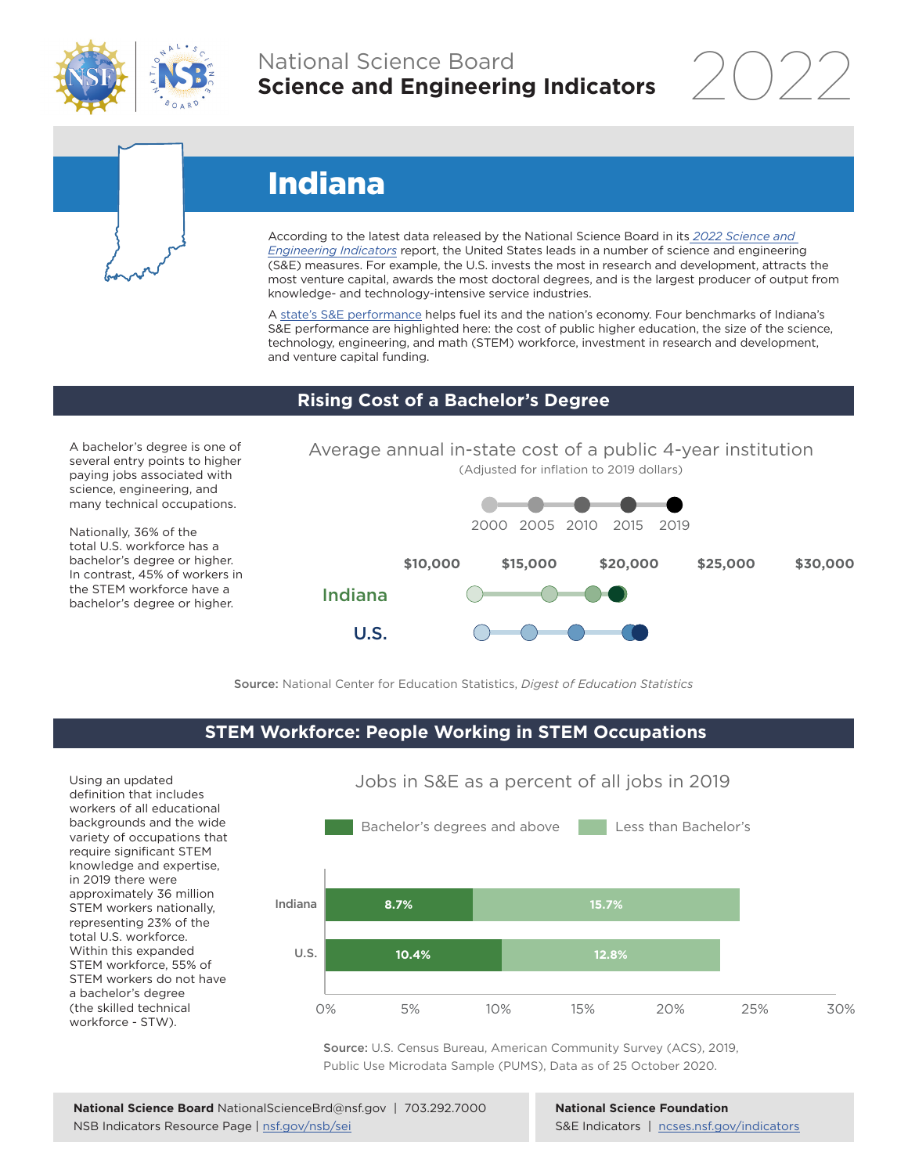

## National Science Board **Science and Engineering Indicators**

2022

# Indiana

According to the latest data released by the National Science Board in its *[2022 Science and](https://www.ncses.nsf.gov/indicators)  [Engineering Indicators](https://www.ncses.nsf.gov/indicators)* report, the United States leads in a number of science and engineering (S&E) measures. For example, the U.S. invests the most in research and development, attracts the most venture capital, awards the most doctoral degrees, and is the largest producer of output from knowledge- and technology-intensive service industries.

A state's S&E performance helps fuel its and the nation's economy. Four benchmarks of Indiana's S&E performance are highlighted here: the cost of public higher education, the size of the science, technology, engineering, and math (STEM) workforce, investment in research and development, and venture capital funding.

#### **Rising Cost of a Bachelor's Degree**

A bachelor's degree is one of several entry points to higher paying jobs associated with science, engineering, and many technical occupations.

Nationally, 36% of the total U.S. workforce has a bachelor's degree or higher. In contrast, 45% of workers in the STEM workforce have a bachelor's degree or higher.



Source: National Center for Education Statistics, *Digest of Education Statistics*

#### **STEM Workforce: People Working in STEM Occupations**

U.S.

Using an updated definition that includes workers of all educational backgrounds and the wide variety of occupations that require significant STEM knowledge and expertise, in 2019 there were approximately 36 million STEM workers nationally, representing 23% of the total U.S. workforce. Within this expanded STEM workforce, 55% of STEM workers do not have a bachelor's degree (the skilled technical workforce - STW).



Jobs in S&E as a percent of all jobs in 2019

Source: U.S. Census Bureau, American Community Survey (ACS), 2019, Public Use Microdata Sample (PUMS), Data as of 25 October 2020.

**National Science Foundation** S&E Indicators | [ncses.nsf.gov/indicators](https://www.ncses.nsf.gov/indicators)